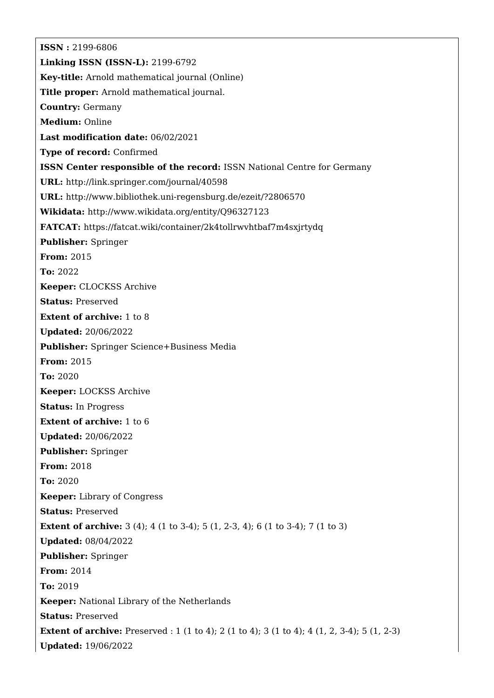**ISSN :** 2199-6806 **Linking ISSN (ISSN-L):** 2199-6792 **Key-title:** Arnold mathematical journal (Online) **Title proper:** Arnold mathematical journal. **Country:** Germany **Medium:** Online **Last modification date:** 06/02/2021 **Type of record:** Confirmed **ISSN Center responsible of the record:** ISSN National Centre for Germany **URL:** <http://link.springer.com/journal/40598> **URL:** <http://www.bibliothek.uni-regensburg.de/ezeit/?2806570> **Wikidata:** <http://www.wikidata.org/entity/Q96327123> **FATCAT:** <https://fatcat.wiki/container/2k4tollrwvhtbaf7m4sxjrtydq> **Publisher:** Springer **From:** 2015 **To:** 2022 **Keeper:** CLOCKSS Archive **Status:** Preserved **Extent of archive:** 1 to 8 **Updated:** 20/06/2022 **Publisher:** Springer Science+Business Media **From:** 2015 **To:** 2020 **Keeper:** LOCKSS Archive **Status:** In Progress **Extent of archive:** 1 to 6 **Updated:** 20/06/2022 **Publisher:** Springer **From:** 2018 **To:** 2020 **Keeper:** Library of Congress **Status:** Preserved **Extent of archive:** 3 (4); 4 (1 to 3-4); 5 (1, 2-3, 4); 6 (1 to 3-4); 7 (1 to 3) **Updated:** 08/04/2022 **Publisher:** Springer **From:** 2014 **To:** 2019 **Keeper:** National Library of the Netherlands **Status:** Preserved **Extent of archive:** Preserved : 1 (1 to 4); 2 (1 to 4); 3 (1 to 4); 4 (1, 2, 3-4); 5 (1, 2-3) **Updated:** 19/06/2022